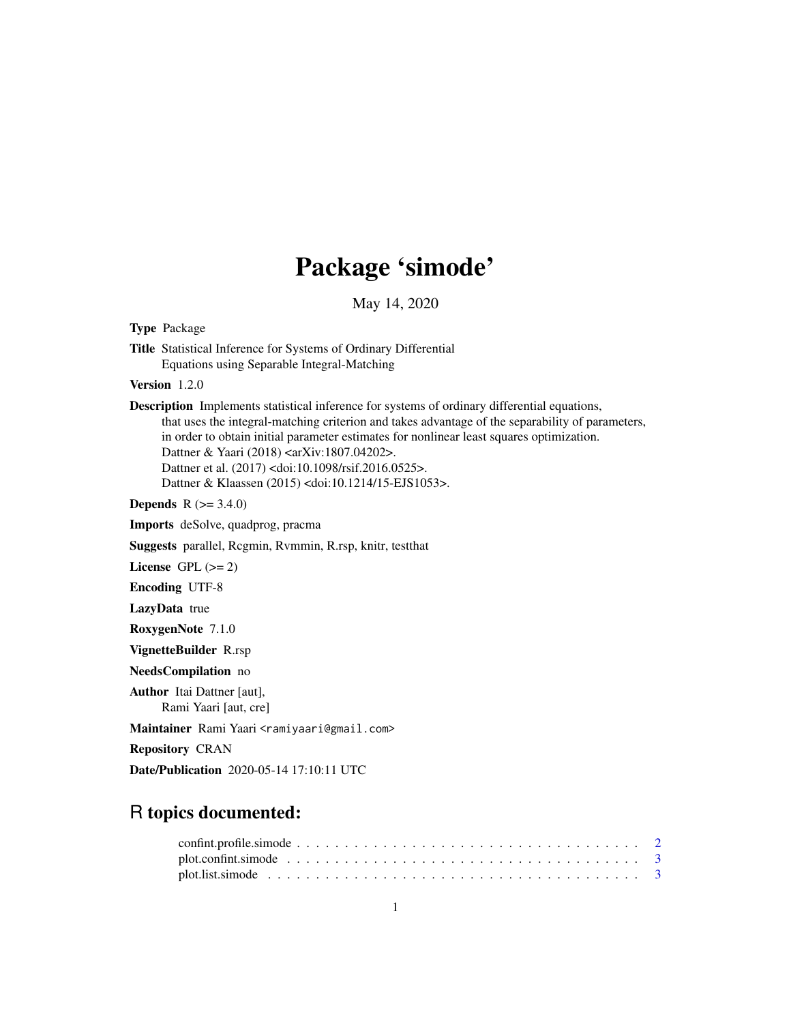# Package 'simode'

May 14, 2020

<span id="page-0-0"></span>Type Package

Title Statistical Inference for Systems of Ordinary Differential Equations using Separable Integral-Matching

Version 1.2.0

Description Implements statistical inference for systems of ordinary differential equations, that uses the integral-matching criterion and takes advantage of the separability of parameters, in order to obtain initial parameter estimates for nonlinear least squares optimization. Dattner & Yaari (2018) <arXiv:1807.04202>. Dattner et al. (2017) <doi:10.1098/rsif.2016.0525>. Dattner & Klaassen (2015) <doi:10.1214/15-EJS1053>.

**Depends** R  $(>= 3.4.0)$ 

Imports deSolve, quadprog, pracma

Suggests parallel, Rcgmin, Rvmmin, R.rsp, knitr, testthat

License GPL  $(>= 2)$ 

Encoding UTF-8

LazyData true

RoxygenNote 7.1.0

VignetteBuilder R.rsp

NeedsCompilation no

Author Itai Dattner [aut], Rami Yaari [aut, cre]

Maintainer Rami Yaari <ramiyaari@gmail.com>

Repository CRAN

Date/Publication 2020-05-14 17:10:11 UTC

# R topics documented: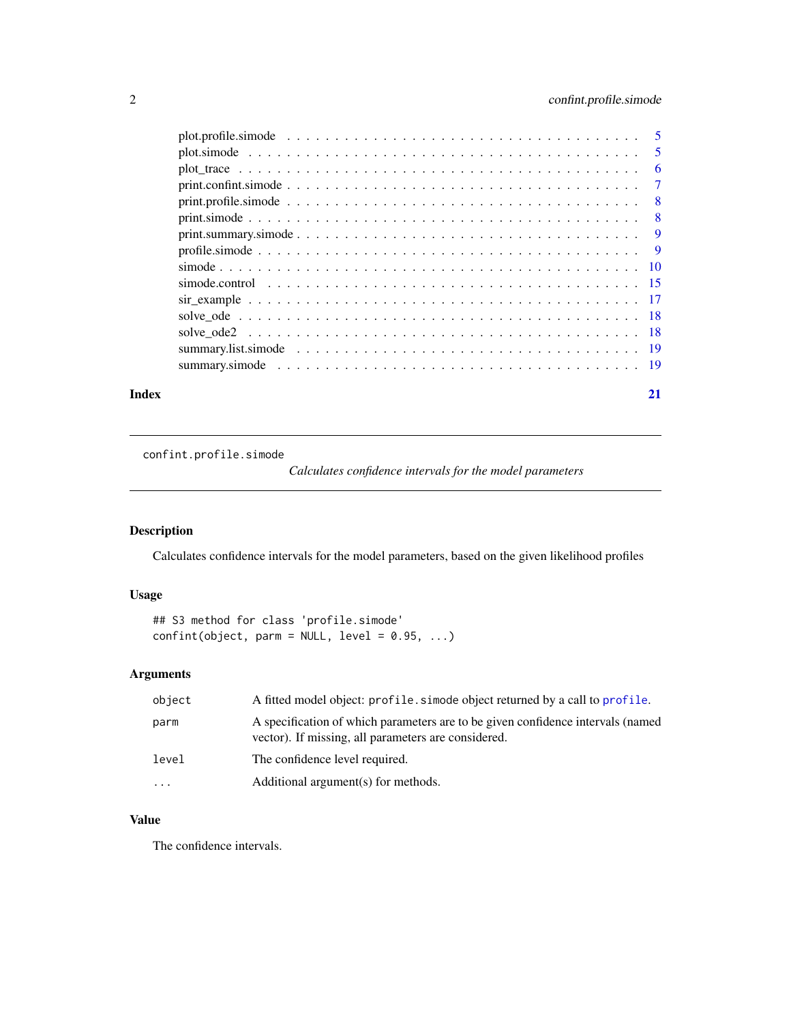#### <span id="page-1-0"></span>2 confint.profile.simode

| Index |                                                                                                                                                                                                                  | 21 |
|-------|------------------------------------------------------------------------------------------------------------------------------------------------------------------------------------------------------------------|----|
|       |                                                                                                                                                                                                                  |    |
|       |                                                                                                                                                                                                                  |    |
|       |                                                                                                                                                                                                                  |    |
|       |                                                                                                                                                                                                                  |    |
|       |                                                                                                                                                                                                                  |    |
|       |                                                                                                                                                                                                                  |    |
|       |                                                                                                                                                                                                                  |    |
|       |                                                                                                                                                                                                                  |    |
|       |                                                                                                                                                                                                                  |    |
|       |                                                                                                                                                                                                                  |    |
|       | $print, profile, \n  simple simple simple simple simple simple simple simple simple simple simple simple simple simple simple simple simple simple blue blue blue blue blue blue blue blue blue blue blue blue $ |    |
|       |                                                                                                                                                                                                                  |    |
|       |                                                                                                                                                                                                                  |    |
|       |                                                                                                                                                                                                                  |    |
|       |                                                                                                                                                                                                                  |    |

confint.profile.simode

*Calculates confidence intervals for the model parameters*

#### Description

Calculates confidence intervals for the model parameters, based on the given likelihood profiles

#### Usage

## S3 method for class 'profile.simode'  $confint(object, parm = NULL, level = 0.95, ...)$ 

#### Arguments

| object | A fitted model object: profile, simode object returned by a call to profile.                                                           |
|--------|----------------------------------------------------------------------------------------------------------------------------------------|
| parm   | A specification of which parameters are to be given confidence intervals (named<br>vector). If missing, all parameters are considered. |
| level  | The confidence level required.                                                                                                         |
| .      | Additional argument(s) for methods.                                                                                                    |

### Value

The confidence intervals.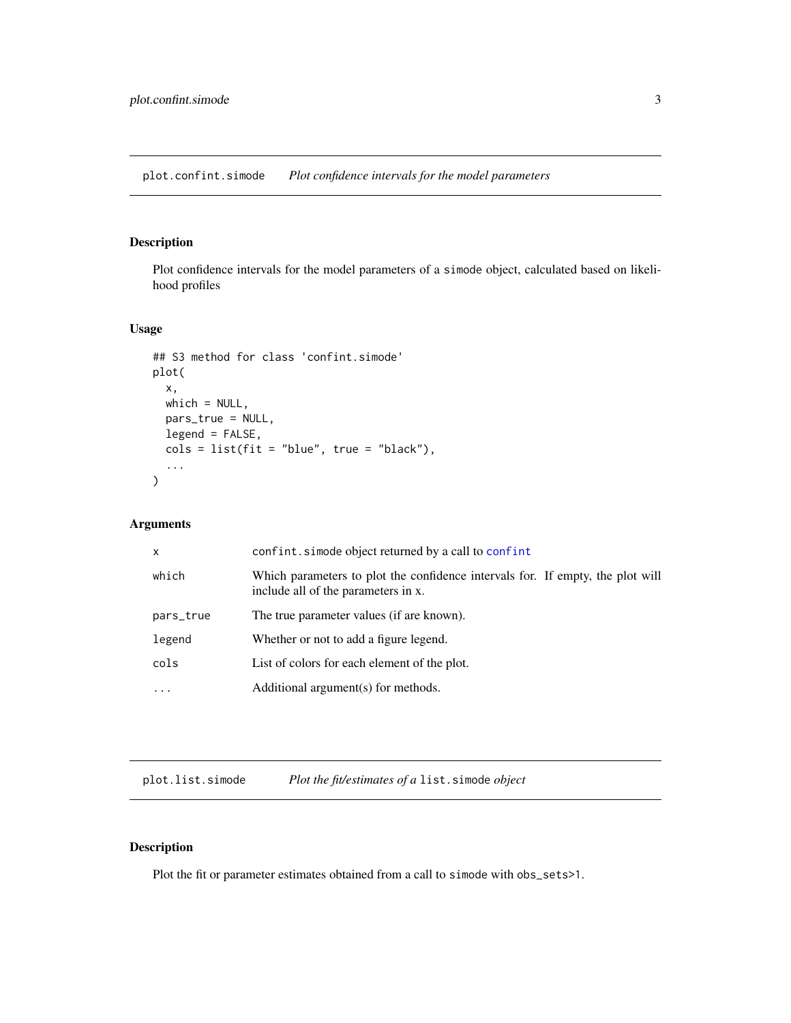<span id="page-2-0"></span>plot.confint.simode *Plot confidence intervals for the model parameters*

#### Description

Plot confidence intervals for the model parameters of a simode object, calculated based on likelihood profiles

#### Usage

```
## S3 method for class 'confint.simode'
plot(
  x,
  which = NULL,pars_true = NULL,
  legend = FALSE,
  \text{cols} = \text{list}(\text{fit} = \text{"blue", true = \text{"black"}),...
\mathcal{L}
```
#### Arguments

| which<br>include all of the parameters in x.<br>The true parameter values (if are known).<br>pars_true<br>legend<br>Whether or not to add a figure legend.<br>cols<br>List of colors for each element of the plot.<br>Additional argument(s) for methods.<br>$\ddotsc$ | x | confint.simode object returned by a call to confint                            |
|------------------------------------------------------------------------------------------------------------------------------------------------------------------------------------------------------------------------------------------------------------------------|---|--------------------------------------------------------------------------------|
|                                                                                                                                                                                                                                                                        |   | Which parameters to plot the confidence intervals for. If empty, the plot will |
|                                                                                                                                                                                                                                                                        |   |                                                                                |
|                                                                                                                                                                                                                                                                        |   |                                                                                |
|                                                                                                                                                                                                                                                                        |   |                                                                                |
|                                                                                                                                                                                                                                                                        |   |                                                                                |

plot.list.simode *Plot the fit/estimates of a* list.simode *object*

#### Description

Plot the fit or parameter estimates obtained from a call to simode with obs\_sets>1.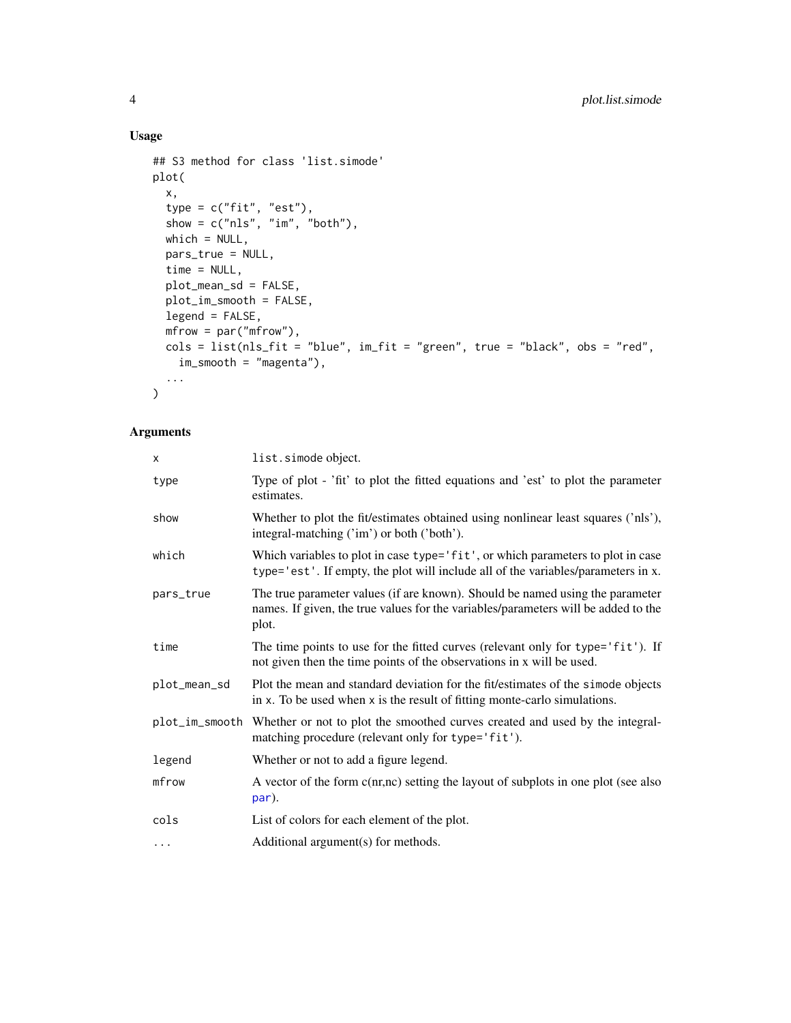#### Usage

```
## S3 method for class 'list.simode'
plot(
  x,
  type = c("fit", "est"),
  show = c("nls", "im", "both"),which = NULL,
  pars_true = NULL,
  time = NULL,
  plot_mean_sd = FALSE,
  plot_im_smooth = FALSE,
  legend = FALSE,
  mfrow = par("mfrow"),
  \text{cols} = \text{list}(\text{nls}\_ \text{fit} = \text{"blue", im}\_ \text{fit} = \text{"green", true = \text{"black", obs = \text{"red",}}im_smooth = "magenta"),
  ...
\mathcal{L}
```

| X            | list.simode object.                                                                                                                                                          |
|--------------|------------------------------------------------------------------------------------------------------------------------------------------------------------------------------|
| type         | Type of plot - 'fit' to plot the fitted equations and 'est' to plot the parameter<br>estimates.                                                                              |
| show         | Whether to plot the fit/estimates obtained using nonlinear least squares ('nls'),<br>integral-matching ('im') or both ('both').                                              |
| which        | Which variables to plot in case type='fit', or which parameters to plot in case<br>type='est'. If empty, the plot will include all of the variables/parameters in x.         |
| pars_true    | The true parameter values (if are known). Should be named using the parameter<br>names. If given, the true values for the variables/parameters will be added to the<br>plot. |
| time         | The time points to use for the fitted curves (relevant only for type='fit'). If<br>not given then the time points of the observations in x will be used.                     |
| plot_mean_sd | Plot the mean and standard deviation for the fit/estimates of the simode objects<br>in x. To be used when x is the result of fitting monte-carlo simulations.                |
|              | plot_im_smooth Whether or not to plot the smoothed curves created and used by the integral-<br>matching procedure (relevant only for type='fit').                            |
| legend       | Whether or not to add a figure legend.                                                                                                                                       |
| mfrow        | A vector of the form c(nr,nc) setting the layout of subplots in one plot (see also<br>par).                                                                                  |
| cols         | List of colors for each element of the plot.                                                                                                                                 |
| $\cdots$     | Additional argument(s) for methods.                                                                                                                                          |

<span id="page-3-0"></span>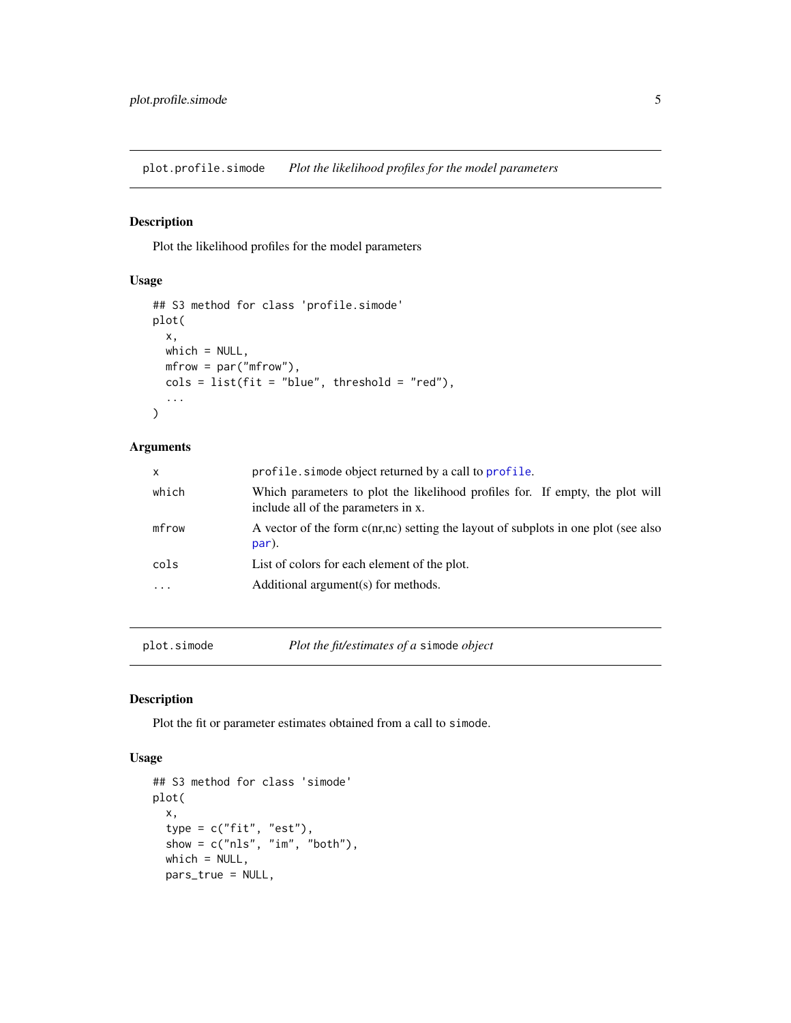<span id="page-4-0"></span>plot.profile.simode *Plot the likelihood profiles for the model parameters*

#### Description

Plot the likelihood profiles for the model parameters

#### Usage

```
## S3 method for class 'profile.simode'
plot(
 x,
 which = NULL,
 mfrow = par("mfrow"),
 cols = list(fit = "blue", threshold = "red"),
  ...
)
```
#### Arguments

| $\mathsf{x}$ | profile. simode object returned by a call to profile.                                                                |
|--------------|----------------------------------------------------------------------------------------------------------------------|
| which        | Which parameters to plot the likelihood profiles for. If empty, the plot will<br>include all of the parameters in x. |
| mfrow        | A vector of the form c(nr,nc) setting the layout of subplots in one plot (see also<br>par).                          |
| cols         | List of colors for each element of the plot.                                                                         |
| $\cdots$     | Additional argument(s) for methods.                                                                                  |
|              |                                                                                                                      |

plot.simode *Plot the fit/estimates of a* simode *object*

#### Description

Plot the fit or parameter estimates obtained from a call to simode.

#### Usage

```
## S3 method for class 'simode'
plot(
 x,
  type = c("fit", "est"),show = c("nls", "im", "both"),which = NULL,
 pars_true = NULL,
```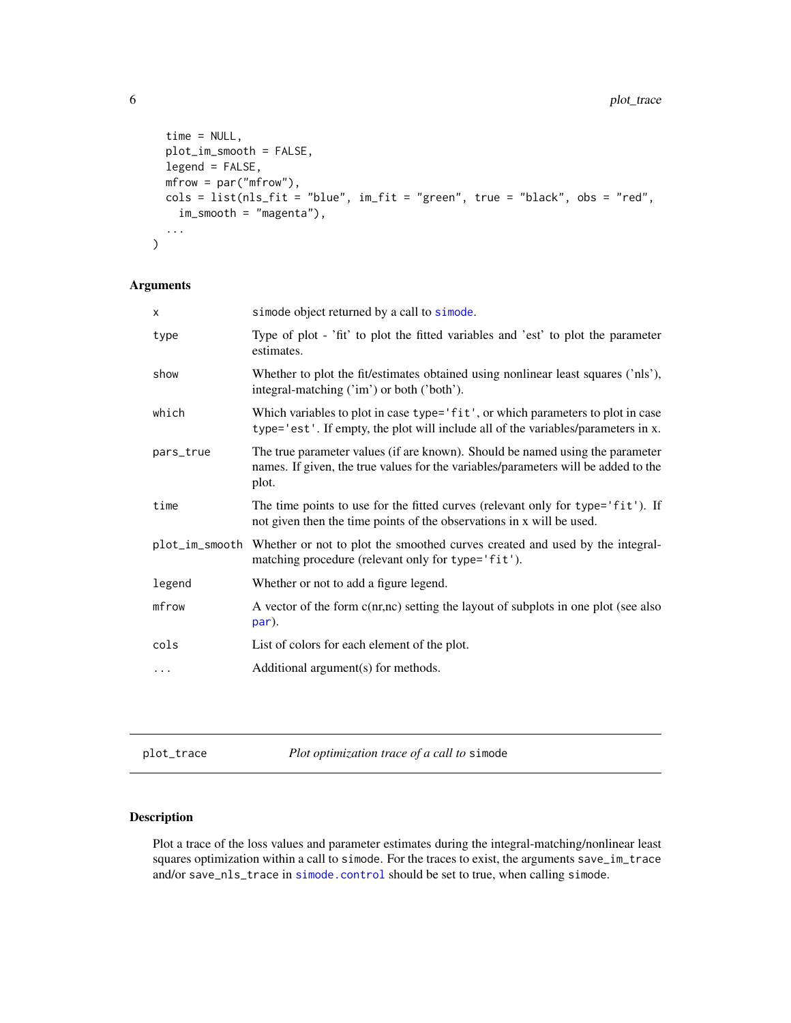```
time = NULL,
  plot_im_smooth = FALSE,
   legend = FALSE,
  mfrow = par("mfrow"),
  \text{cols} = \text{list}(\text{nls}\_\text{fit} = \text{"blue", im}\_\text{fit} = \text{"green", true = \text{"black", obs = \text{"red",}}im_smooth = "magenta"),
   ...
\mathcal{L}
```
#### Arguments

| simode object returned by a call to simode.                                                                                                                                  |
|------------------------------------------------------------------------------------------------------------------------------------------------------------------------------|
| Type of plot - 'fit' to plot the fitted variables and 'est' to plot the parameter<br>estimates.                                                                              |
| Whether to plot the fit/estimates obtained using nonlinear least squares ('nls'),<br>integral-matching ('im') or both ('both').                                              |
| Which variables to plot in case type='fit', or which parameters to plot in case<br>type='est'. If empty, the plot will include all of the variables/parameters in x.         |
| The true parameter values (if are known). Should be named using the parameter<br>names. If given, the true values for the variables/parameters will be added to the<br>plot. |
| The time points to use for the fitted curves (relevant only for type='fit'). If<br>not given then the time points of the observations in x will be used.                     |
| plot_im_smooth Whether or not to plot the smoothed curves created and used by the integral-<br>matching procedure (relevant only for type='fit').                            |
| Whether or not to add a figure legend.                                                                                                                                       |
| A vector of the form c(nr,nc) setting the layout of subplots in one plot (see also<br>par).                                                                                  |
| List of colors for each element of the plot.                                                                                                                                 |
| Additional argument(s) for methods.                                                                                                                                          |
|                                                                                                                                                                              |

<span id="page-5-1"></span>plot\_trace *Plot optimization trace of a call to* simode

#### Description

Plot a trace of the loss values and parameter estimates during the integral-matching/nonlinear least squares optimization within a call to simode. For the traces to exist, the arguments save\_im\_trace and/or save\_nls\_trace in [simode.control](#page-14-1) should be set to true, when calling simode.

<span id="page-5-0"></span>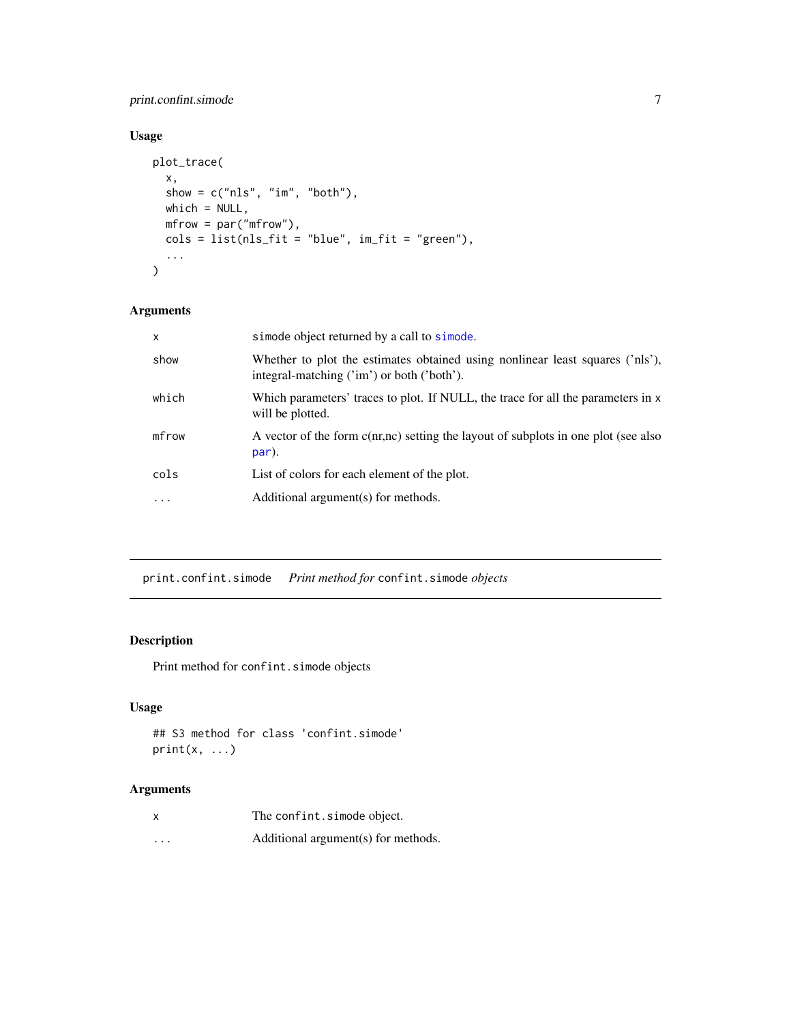#### <span id="page-6-0"></span>print.confint.simode 7

#### Usage

```
plot_trace(
 x,
 show = c("nls", "im", "both"),which = NULL,mfrow = par("mfrow"),
 cols = list(nls_fit = "blue", im_fit = "green"),
  ...
\mathcal{L}
```
#### Arguments

| $\mathsf{x}$ | simode object returned by a call to simode.                                                                                 |
|--------------|-----------------------------------------------------------------------------------------------------------------------------|
| show         | Whether to plot the estimates obtained using nonlinear least squares ('nls'),<br>integral-matching ('im') or both ('both'). |
| which        | Which parameters' traces to plot. If NULL, the trace for all the parameters in x<br>will be plotted.                        |
| mfrow        | A vector of the form c(nr,nc) setting the layout of subplots in one plot (see also<br>par).                                 |
| cols         | List of colors for each element of the plot.                                                                                |
| $\cdot$      | Additional argument(s) for methods.                                                                                         |
|              |                                                                                                                             |

print.confint.simode *Print method for* confint.simode *objects*

#### Description

Print method for confint.simode objects

#### Usage

```
## S3 method for class 'confint.simode'
print(x, \ldots)
```

| $\boldsymbol{\mathsf{x}}$ | The confint.simode object.          |
|---------------------------|-------------------------------------|
| $\cdots$                  | Additional argument(s) for methods. |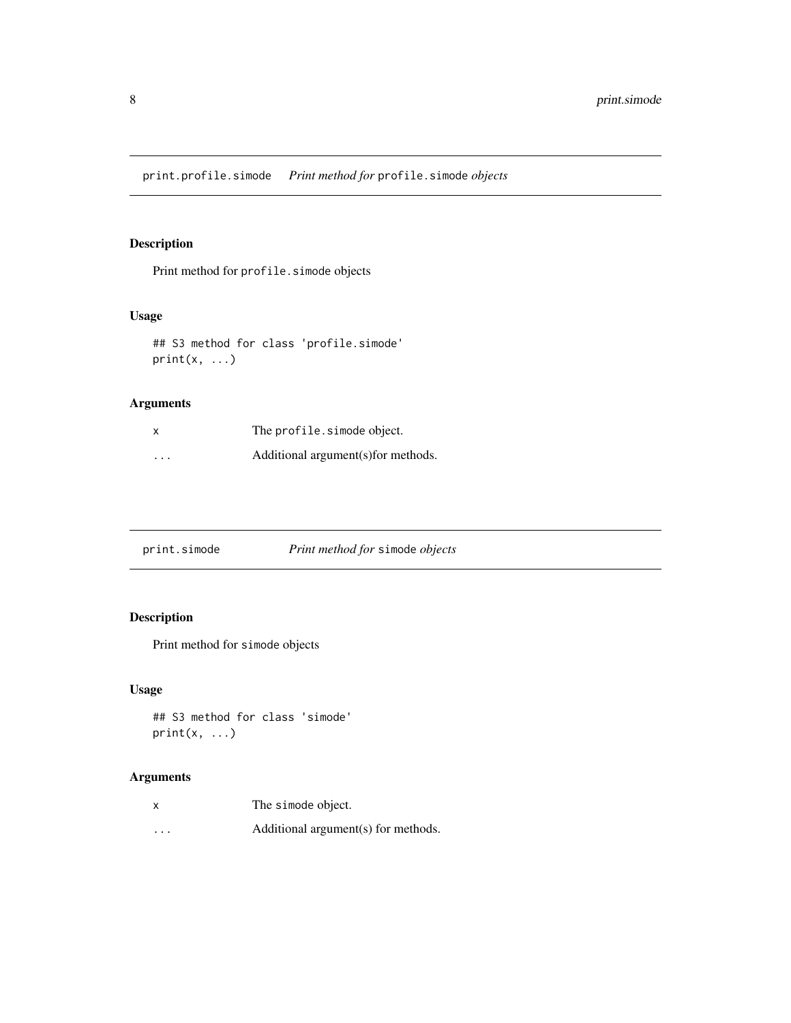<span id="page-7-0"></span>print.profile.simode *Print method for* profile.simode *objects*

#### Description

Print method for profile.simode objects

#### Usage

```
## S3 method for class 'profile.simode'
print(x, \ldots)
```
#### Arguments

| X        | The profile.simode object.          |
|----------|-------------------------------------|
| $\cdots$ | Additional argument(s) for methods. |

| print.simode | Print method for simode objects |
|--------------|---------------------------------|
|              |                                 |

#### Description

Print method for simode objects

#### Usage

```
## S3 method for class 'simode'
print(x, \ldots)
```

| X        | The simode object.                  |
|----------|-------------------------------------|
| $\cdots$ | Additional argument(s) for methods. |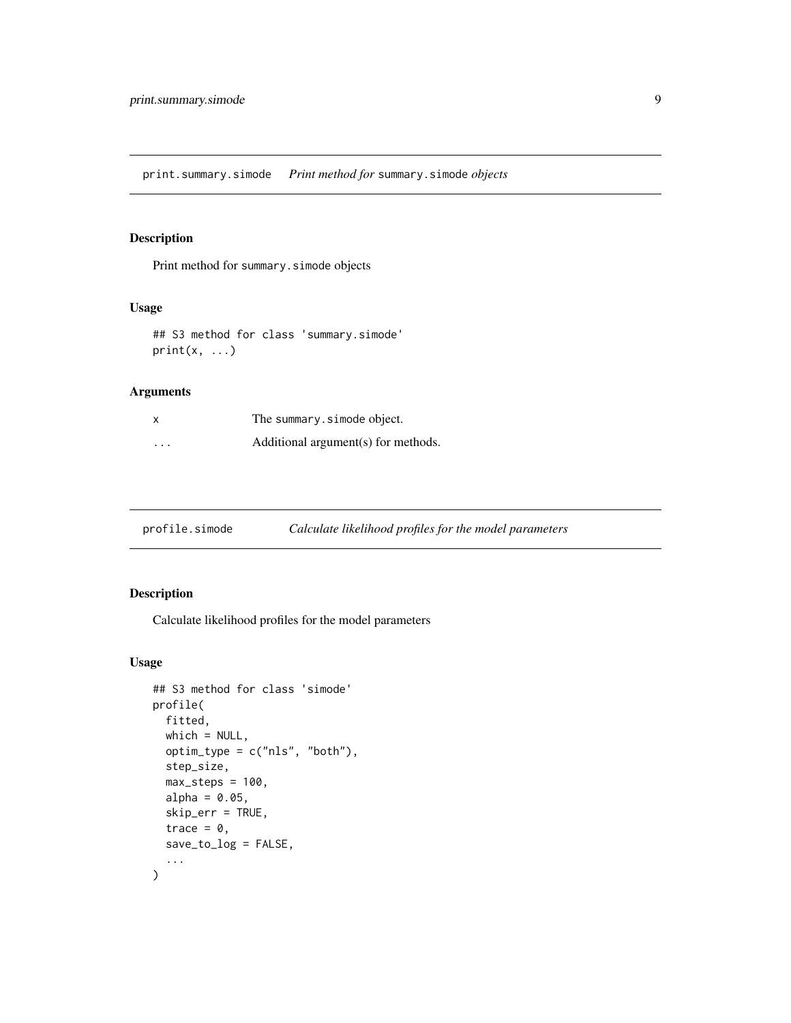<span id="page-8-0"></span>print.summary.simode *Print method for* summary.simode *objects*

#### Description

Print method for summary.simode objects

#### Usage

## S3 method for class 'summary.simode'  $print(x, \ldots)$ 

#### Arguments

| x                    | The summary.simode object.          |
|----------------------|-------------------------------------|
| $\ddot{\phantom{0}}$ | Additional argument(s) for methods. |

profile.simode *Calculate likelihood profiles for the model parameters*

#### Description

Calculate likelihood profiles for the model parameters

#### Usage

```
## S3 method for class 'simode'
profile(
 fitted,
  which = NULL,optim_type = c("nls", "both"),
  step_size,
 max\_steps = 100,alpha = 0.05,
  skip_err = TRUE,
  trace = \theta,
  save_to_log = FALSE,
  ...
)
```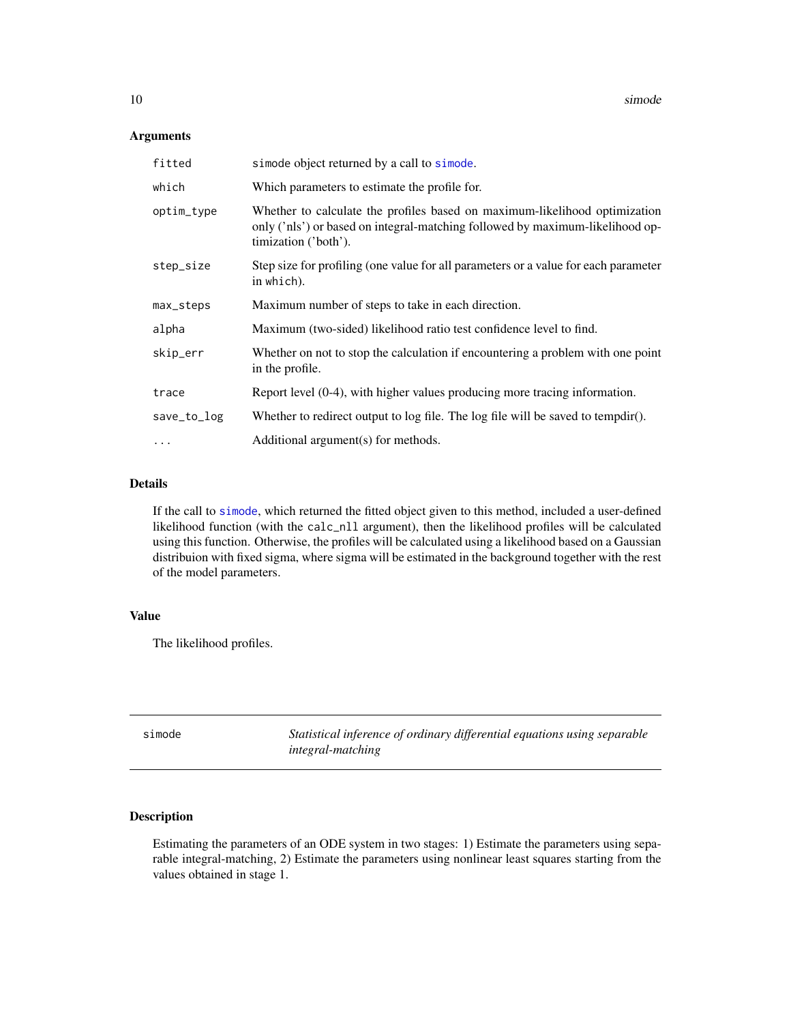#### <span id="page-9-0"></span>Arguments

| fitted      | simode object returned by a call to simode.                                                                                                                                         |
|-------------|-------------------------------------------------------------------------------------------------------------------------------------------------------------------------------------|
| which       | Which parameters to estimate the profile for.                                                                                                                                       |
| optim_type  | Whether to calculate the profiles based on maximum-likelihood optimization<br>only ('nls') or based on integral-matching followed by maximum-likelihood op-<br>timization ('both'). |
| step_size   | Step size for profiling (one value for all parameters or a value for each parameter<br>in which).                                                                                   |
| max_steps   | Maximum number of steps to take in each direction.                                                                                                                                  |
| alpha       | Maximum (two-sided) likelihood ratio test confidence level to find.                                                                                                                 |
| skip_err    | Whether on not to stop the calculation if encountering a problem with one point<br>in the profile.                                                                                  |
| trace       | Report level $(0-4)$ , with higher values producing more tracing information.                                                                                                       |
| save_to_log | Whether to redirect output to log file. The log file will be saved to tempdir().                                                                                                    |
| .           | Additional argument(s) for methods.                                                                                                                                                 |

#### Details

If the call to [simode](#page-9-1), which returned the fitted object given to this method, included a user-defined likelihood function (with the calc\_nll argument), then the likelihood profiles will be calculated using this function. Otherwise, the profiles will be calculated using a likelihood based on a Gaussian distribuion with fixed sigma, where sigma will be estimated in the background together with the rest of the model parameters.

#### Value

The likelihood profiles.

<span id="page-9-1"></span>simode *Statistical inference of ordinary differential equations using separable integral-matching*

#### Description

Estimating the parameters of an ODE system in two stages: 1) Estimate the parameters using separable integral-matching, 2) Estimate the parameters using nonlinear least squares starting from the values obtained in stage 1.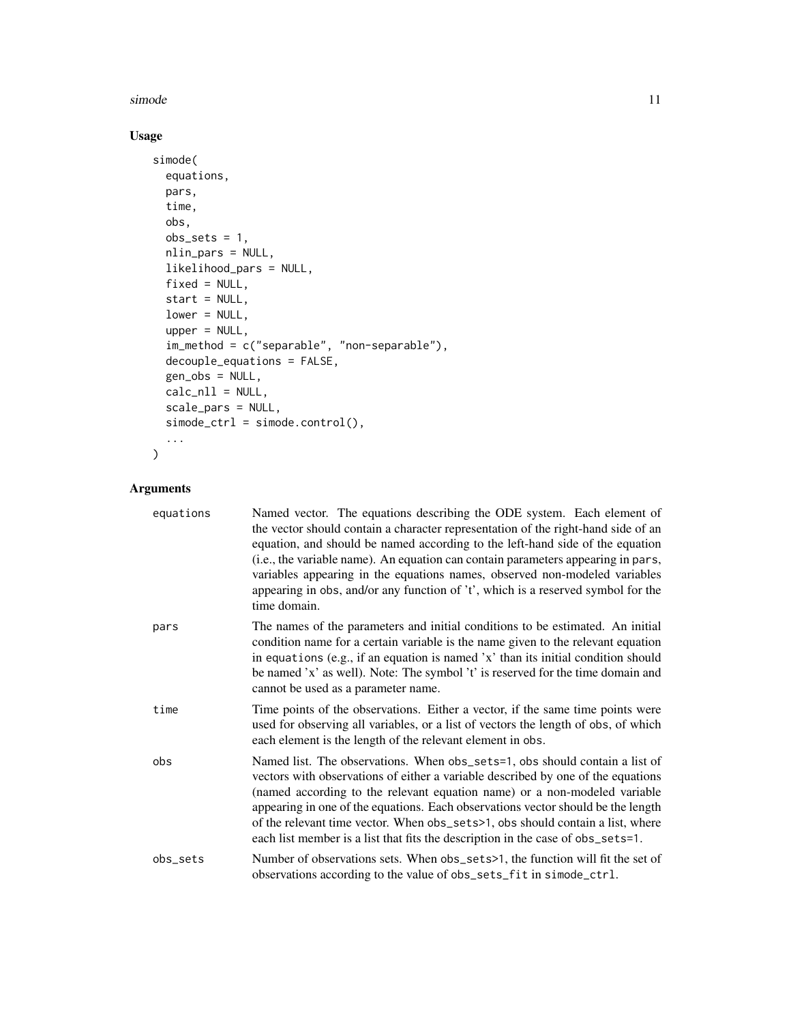#### simode that the same simulation of the same simulation of the same simulation of the same simulation of the same simulation of the same simulation of the same simulation of the same simulation of the same simulation of the

#### Usage

```
simode(
  equations,
 pars,
  time,
 obs,
 obs\_sets = 1,
 nlin_pars = NULL,
 likelihood_pars = NULL,
 fixed = NULL,start = NULL,
  lower = NULL,
  upper = NULL,
  im_method = c("separable", "non-separable"),
  decouple_equations = FALSE,
  gen_obs = NULL,
 calc\_nll = NULL,scale_pars = NULL,
  simode_ctrl = simode.control(),
  ...
\mathcal{L}
```

| equations | Named vector. The equations describing the ODE system. Each element of<br>the vector should contain a character representation of the right-hand side of an<br>equation, and should be named according to the left-hand side of the equation<br>(i.e., the variable name). An equation can contain parameters appearing in pars,<br>variables appearing in the equations names, observed non-modeled variables<br>appearing in obs, and/or any function of 't', which is a reserved symbol for the<br>time domain. |
|-----------|--------------------------------------------------------------------------------------------------------------------------------------------------------------------------------------------------------------------------------------------------------------------------------------------------------------------------------------------------------------------------------------------------------------------------------------------------------------------------------------------------------------------|
| pars      | The names of the parameters and initial conditions to be estimated. An initial<br>condition name for a certain variable is the name given to the relevant equation<br>in equations (e.g., if an equation is named 'x' than its initial condition should<br>be named 'x' as well). Note: The symbol 't' is reserved for the time domain and<br>cannot be used as a parameter name.                                                                                                                                  |
| time      | Time points of the observations. Either a vector, if the same time points were<br>used for observing all variables, or a list of vectors the length of obs, of which<br>each element is the length of the relevant element in obs.                                                                                                                                                                                                                                                                                 |
| obs       | Named list. The observations. When obs_sets=1, obs should contain a list of<br>vectors with observations of either a variable described by one of the equations<br>(named according to the relevant equation name) or a non-modeled variable<br>appearing in one of the equations. Each observations vector should be the length<br>of the relevant time vector. When obs_sets>1, obs should contain a list, where<br>each list member is a list that fits the description in the case of obs_sets=1.              |
| obs_sets  | Number of observations sets. When obs_sets>1, the function will fit the set of<br>observations according to the value of obs_sets_fit in simode_ctrl.                                                                                                                                                                                                                                                                                                                                                              |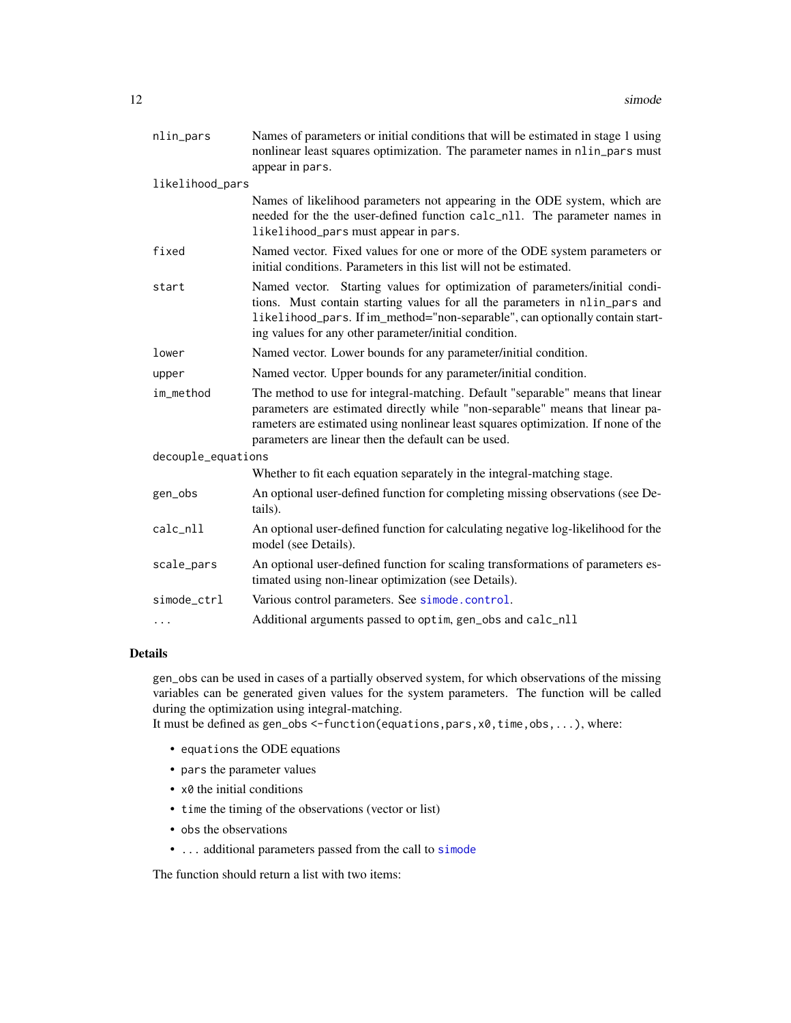<span id="page-11-0"></span>

| nlin_pars          | Names of parameters or initial conditions that will be estimated in stage 1 using<br>nonlinear least squares optimization. The parameter names in nlin_pars must<br>appear in pars.                                                                                                                         |  |
|--------------------|-------------------------------------------------------------------------------------------------------------------------------------------------------------------------------------------------------------------------------------------------------------------------------------------------------------|--|
| likelihood_pars    |                                                                                                                                                                                                                                                                                                             |  |
|                    | Names of likelihood parameters not appearing in the ODE system, which are<br>needed for the the user-defined function calc_nll. The parameter names in<br>likelihood_pars must appear in pars.                                                                                                              |  |
| fixed              | Named vector. Fixed values for one or more of the ODE system parameters or<br>initial conditions. Parameters in this list will not be estimated.                                                                                                                                                            |  |
| start              | Named vector. Starting values for optimization of parameters/initial condi-<br>tions. Must contain starting values for all the parameters in nlin_pars and<br>likelihood_pars. If im_method="non-separable", can optionally contain start-<br>ing values for any other parameter/initial condition.         |  |
| lower              | Named vector. Lower bounds for any parameter/initial condition.                                                                                                                                                                                                                                             |  |
| upper              | Named vector. Upper bounds for any parameter/initial condition.                                                                                                                                                                                                                                             |  |
| im_method          | The method to use for integral-matching. Default "separable" means that linear<br>parameters are estimated directly while "non-separable" means that linear pa-<br>rameters are estimated using nonlinear least squares optimization. If none of the<br>parameters are linear then the default can be used. |  |
| decouple_equations |                                                                                                                                                                                                                                                                                                             |  |
|                    | Whether to fit each equation separately in the integral-matching stage.                                                                                                                                                                                                                                     |  |
| gen_obs            | An optional user-defined function for completing missing observations (see De-<br>tails).                                                                                                                                                                                                                   |  |
| calc_nll           | An optional user-defined function for calculating negative log-likelihood for the<br>model (see Details).                                                                                                                                                                                                   |  |
| scale_pars         | An optional user-defined function for scaling transformations of parameters es-<br>timated using non-linear optimization (see Details).                                                                                                                                                                     |  |
| simode_ctrl        | Various control parameters. See simode.control.                                                                                                                                                                                                                                                             |  |
| $\cdots$           | Additional arguments passed to optim, gen_obs and calc_nll                                                                                                                                                                                                                                                  |  |

#### Details

gen\_obs can be used in cases of a partially observed system, for which observations of the missing variables can be generated given values for the system parameters. The function will be called during the optimization using integral-matching.

It must be defined as gen\_obs <-function(equations,pars,x0,time,obs,...), where:

- equations the ODE equations
- pars the parameter values
- x0 the initial conditions
- time the timing of the observations (vector or list)
- obs the observations
- ... additional parameters passed from the call to [simode](#page-9-1)

The function should return a list with two items: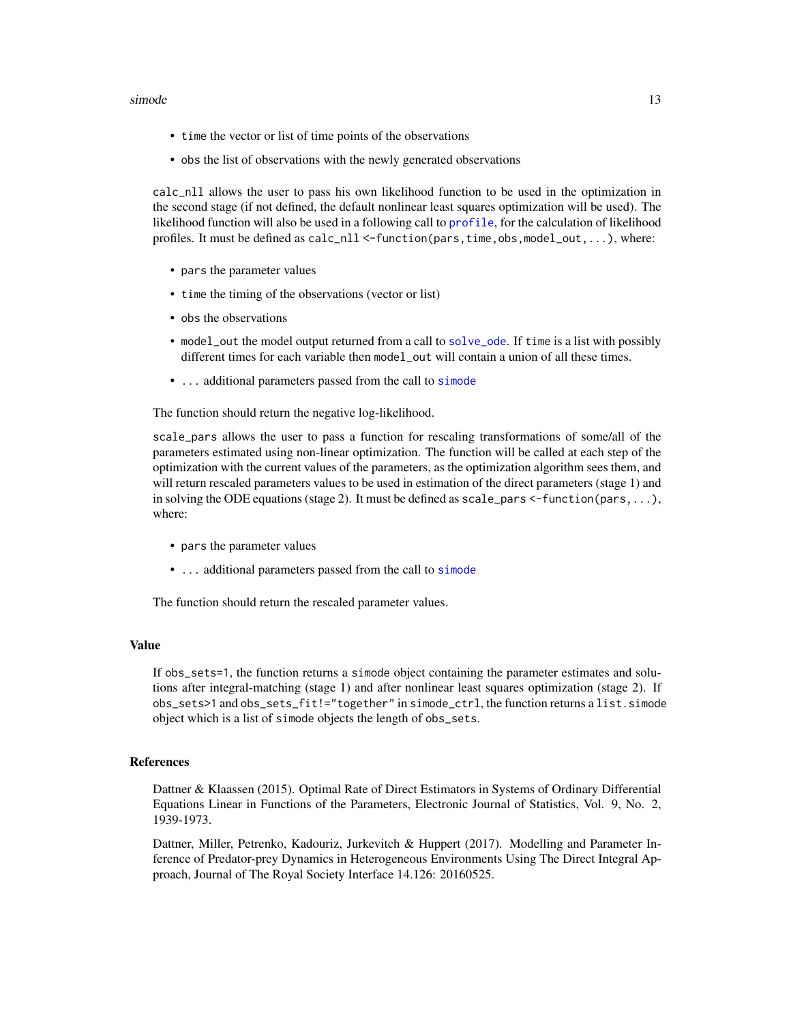#### <span id="page-12-0"></span>simode that the state of the state of the state of the state of the state of the state of the state of the state of the state of the state of the state of the state of the state of the state of the state of the state of th

- time the vector or list of time points of the observations
- obs the list of observations with the newly generated observations

calc\_nll allows the user to pass his own likelihood function to be used in the optimization in the second stage (if not defined, the default nonlinear least squares optimization will be used). The likelihood function will also be used in a following call to [profile](#page-0-0), for the calculation of likelihood profiles. It must be defined as  $calc\_n11 \leq function(pars, time, obs, model\_out, ...),$  where:

- pars the parameter values
- time the timing of the observations (vector or list)
- obs the observations
- model\_out the model output returned from a call to [solve\\_ode](#page-17-1). If time is a list with possibly different times for each variable then model\_out will contain a union of all these times.
- ... additional parameters passed from the call to [simode](#page-9-1)

The function should return the negative log-likelihood.

scale\_pars allows the user to pass a function for rescaling transformations of some/all of the parameters estimated using non-linear optimization. The function will be called at each step of the optimization with the current values of the parameters, as the optimization algorithm sees them, and will return rescaled parameters values to be used in estimation of the direct parameters (stage 1) and in solving the ODE equations (stage 2). It must be defined as  $scale\_pars <$ -function(pars,...), where:

- pars the parameter values
- ... additional parameters passed from the call to [simode](#page-9-1)

The function should return the rescaled parameter values.

#### Value

If obs\_sets=1, the function returns a simode object containing the parameter estimates and solutions after integral-matching (stage 1) and after nonlinear least squares optimization (stage 2). If obs\_sets>1 and obs\_sets\_fit!="together" in simode\_ctrl, the function returns a list.simode object which is a list of simode objects the length of obs\_sets.

#### References

Dattner & Klaassen (2015). Optimal Rate of Direct Estimators in Systems of Ordinary Differential Equations Linear in Functions of the Parameters, Electronic Journal of Statistics, Vol. 9, No. 2, 1939-1973.

Dattner, Miller, Petrenko, Kadouriz, Jurkevitch & Huppert (2017). Modelling and Parameter Inference of Predator-prey Dynamics in Heterogeneous Environments Using The Direct Integral Approach, Journal of The Royal Society Interface 14.126: 20160525.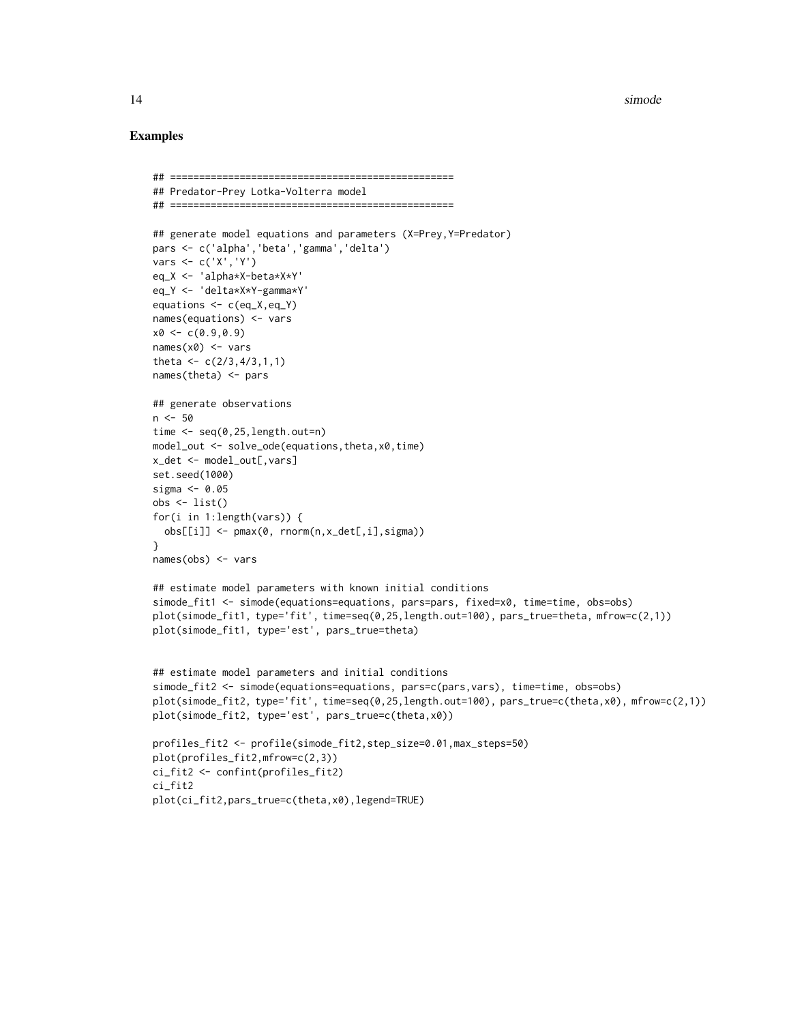14 simode simon and the simon simon simon simon simon simon simon simon simon simon simon simon simon simon si

#### Examples

```
## =================================================
## Predator-Prey Lotka-Volterra model
## =================================================
## generate model equations and parameters (X=Prey,Y=Predator)
pars <- c('alpha','beta','gamma','delta')
vars <- c('X','Y')
eq_X <- 'alpha*X-beta*X*Y'
eq_Y <- 'delta*X*Y-gamma*Y'
equations <- c(eq_X,eq_Y)
names(equations) <- vars
x0 \leq -c(0.9, 0.9)names(x0) <- vars
theta <-c(2/3, 4/3, 1, 1)names(theta) <- pars
## generate observations
n < -50time <- seq(0,25,length.out=n)
model_out <- solve_ode(equations,theta,x0,time)
x_det <- model_out[,vars]
set.seed(1000)
sigma <- 0.05
obs <- list()
for(i in 1:length(vars)) {
  obs[[i]] <- pmax(0, rnorm(n,x_det[,i],sigma))
}
names(obs) <- vars
## estimate model parameters with known initial conditions
simode_fit1 <- simode(equations=equations, pars=pars, fixed=x0, time=time, obs=obs)
plot(simode_fit1, type='fit', time=seq(0,25,length.out=100), pars_true=theta, mfrow=c(2,1))
plot(simode_fit1, type='est', pars_true=theta)
## estimate model parameters and initial conditions
simode_fit2 <- simode(equations=equations, pars=c(pars,vars), time=time, obs=obs)
plot(simode_fit2, type='fit', time=seq(0,25,length.out=100), pars_true=c(theta,x0), mfrow=c(2,1))
plot(simode_fit2, type='est', pars_true=c(theta,x0))
profiles_fit2 <- profile(simode_fit2,step_size=0.01,max_steps=50)
plot(profiles_fit2,mfrow=c(2,3))
ci_fit2 <- confint(profiles_fit2)
ci_fit2
plot(ci_fit2,pars_true=c(theta,x0),legend=TRUE)
```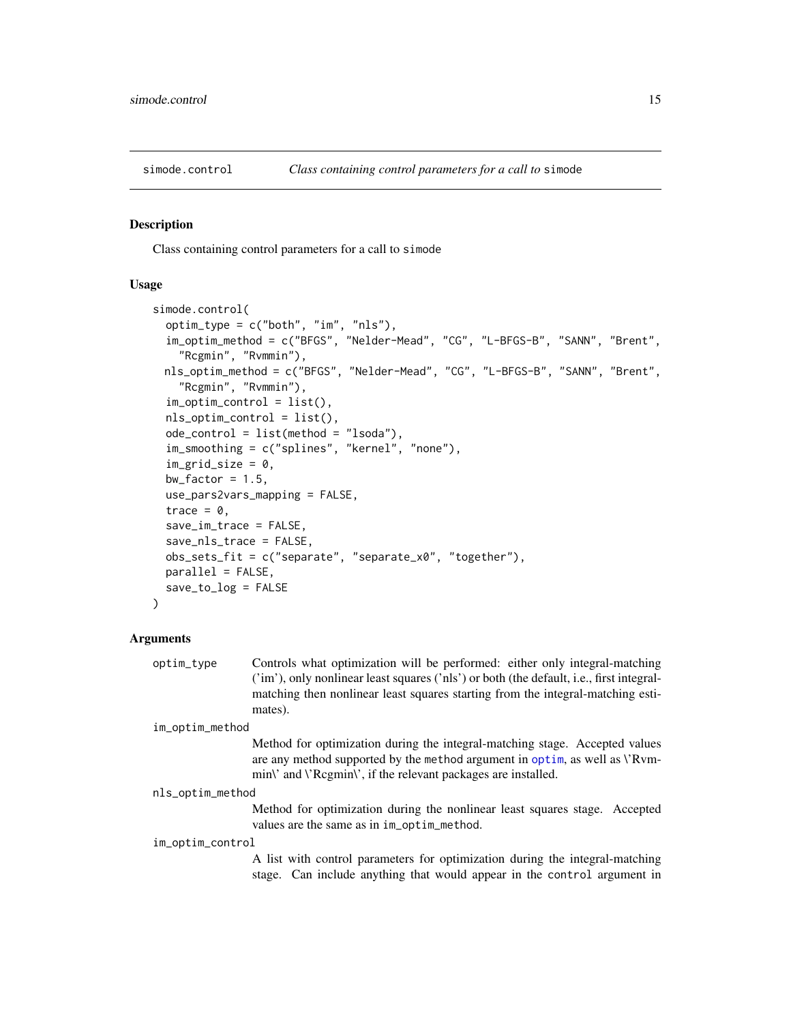<span id="page-14-1"></span><span id="page-14-0"></span>

#### Description

Class containing control parameters for a call to simode

#### Usage

```
simode.control(
  optim_type = c("both", "im", "nls"),
  im_optim_method = c("BFGS", "Nelder-Mead", "CG", "L-BFGS-B", "SANN", "Brent",
    "Rcgmin", "Rvmmin"),
 nls_optim_method = c("BFGS", "Nelder-Mead", "CG", "L-BFGS-B", "SANN", "Brent",
    "Rcgmin", "Rvmmin"),
  im_optim_control = list(),
  nls_optim_control = list(),
  ode_control = list(method = "lsoda"),
  im_smoothing = c("splines", "kernel", "none"),
  im\_grid\_size = 0,
  bw_factor = 1.5,
  use_pars2vars_mapping = FALSE,
  trace = 0,
  save_im_trace = FALSE,
  save_nls_trace = FALSE,
  obs_sets_fit = c("separate", "separate_x0", "together"),
 parallel = FALSE,
  save_to_log = FALSE
)
```
#### Arguments

| optim_tvpe | Controls what optimization will be performed: either only integral-matching              |
|------------|------------------------------------------------------------------------------------------|
|            | ('im'), only nonlinear least squares ('nls') or both (the default, i.e., first integral- |
|            | matching then nonlinear least squares starting from the integral-matching esti-          |
|            | mates).                                                                                  |

```
im_optim_method
```
Method for optimization during the integral-matching stage. Accepted values are any method supported by the method argument in [optim](#page-0-0), as well as \'Rvmmin\' and \'Rcgmin\', if the relevant packages are installed.

#### nls\_optim\_method

Method for optimization during the nonlinear least squares stage. Accepted values are the same as in im\_optim\_method.

#### im\_optim\_control

A list with control parameters for optimization during the integral-matching stage. Can include anything that would appear in the control argument in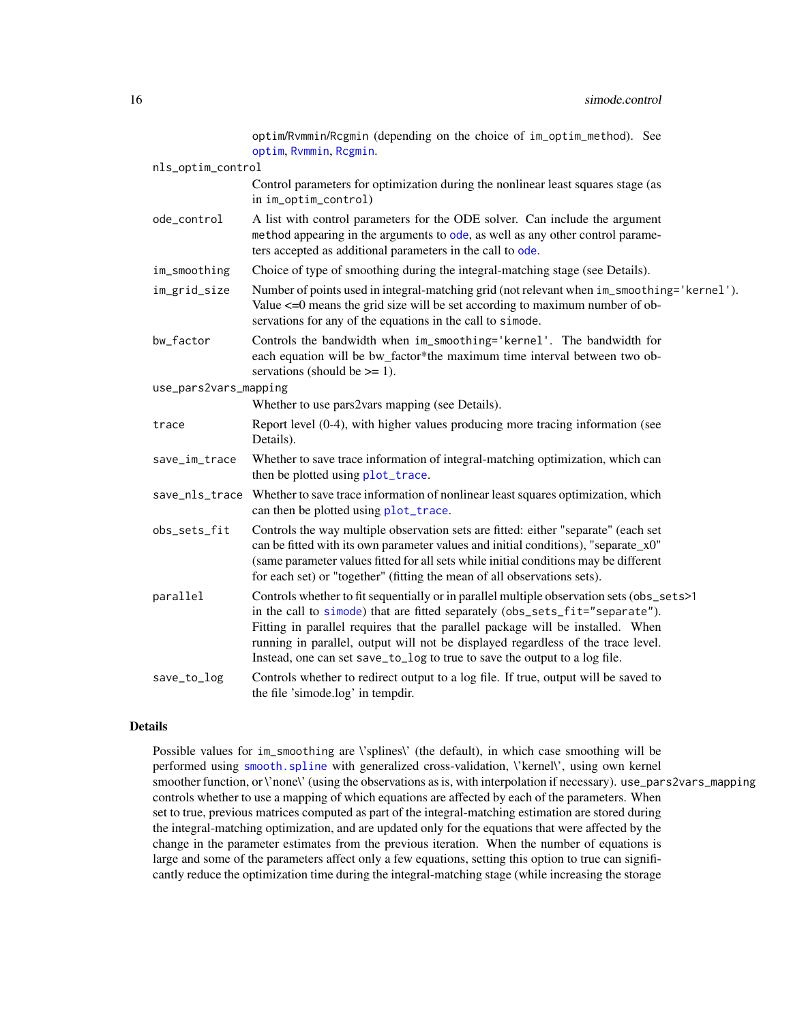<span id="page-15-0"></span>

|                       | optim/Rvmmin/Rcgmin (depending on the choice of im_optim_method). See<br>optim, Rvmmin, Rcgmin.                                                                                                                                                                                                                                                                                                                               |
|-----------------------|-------------------------------------------------------------------------------------------------------------------------------------------------------------------------------------------------------------------------------------------------------------------------------------------------------------------------------------------------------------------------------------------------------------------------------|
| nls_optim_control     |                                                                                                                                                                                                                                                                                                                                                                                                                               |
|                       | Control parameters for optimization during the nonlinear least squares stage (as<br>in im_optim_control)                                                                                                                                                                                                                                                                                                                      |
| ode_control           | A list with control parameters for the ODE solver. Can include the argument<br>method appearing in the arguments to ode, as well as any other control parame-<br>ters accepted as additional parameters in the call to ode.                                                                                                                                                                                                   |
| im_smoothing          | Choice of type of smoothing during the integral-matching stage (see Details).                                                                                                                                                                                                                                                                                                                                                 |
| im_grid_size          | Number of points used in integral-matching grid (not relevant when im_smoothing='kernel').<br>Value $\leq$ =0 means the grid size will be set according to maximum number of ob-<br>servations for any of the equations in the call to simode.                                                                                                                                                                                |
| bw_factor             | Controls the bandwidth when im_smoothing='kernel'. The bandwidth for<br>each equation will be bw_factor*the maximum time interval between two ob-<br>servations (should be $\geq$ = 1).                                                                                                                                                                                                                                       |
| use_pars2vars_mapping |                                                                                                                                                                                                                                                                                                                                                                                                                               |
|                       | Whether to use pars2vars mapping (see Details).                                                                                                                                                                                                                                                                                                                                                                               |
| trace                 | Report level (0-4), with higher values producing more tracing information (see<br>Details).                                                                                                                                                                                                                                                                                                                                   |
| save_im_trace         | Whether to save trace information of integral-matching optimization, which can<br>then be plotted using plot_trace.                                                                                                                                                                                                                                                                                                           |
| save_nls_trace        | Whether to save trace information of nonlinear least squares optimization, which<br>can then be plotted using plot_trace.                                                                                                                                                                                                                                                                                                     |
| obs_sets_fit          | Controls the way multiple observation sets are fitted: either "separate" (each set<br>can be fitted with its own parameter values and initial conditions), "separate_x0"<br>(same parameter values fitted for all sets while initial conditions may be different<br>for each set) or "together" (fitting the mean of all observations sets).                                                                                  |
| parallel              | Controls whether to fit sequentially or in parallel multiple observation sets (obs_sets>1<br>in the call to simode) that are fitted separately (obs_sets_fit="separate").<br>Fitting in parallel requires that the parallel package will be installed. When<br>running in parallel, output will not be displayed regardless of the trace level.<br>Instead, one can set save_to_log to true to save the output to a log file. |
| save_to_log           | Controls whether to redirect output to a log file. If true, output will be saved to<br>the file 'simode.log' in tempdir.                                                                                                                                                                                                                                                                                                      |

#### Details

Possible values for im\_smoothing are \'splines\' (the default), in which case smoothing will be performed using [smooth.spline](#page-0-0) with generalized cross-validation, \'kernel\', using own kernel smoother function, or \'none\' (using the observations as is, with interpolation if necessary). use\_pars2vars\_mapping controls whether to use a mapping of which equations are affected by each of the parameters. When set to true, previous matrices computed as part of the integral-matching estimation are stored during the integral-matching optimization, and are updated only for the equations that were affected by the change in the parameter estimates from the previous iteration. When the number of equations is large and some of the parameters affect only a few equations, setting this option to true can significantly reduce the optimization time during the integral-matching stage (while increasing the storage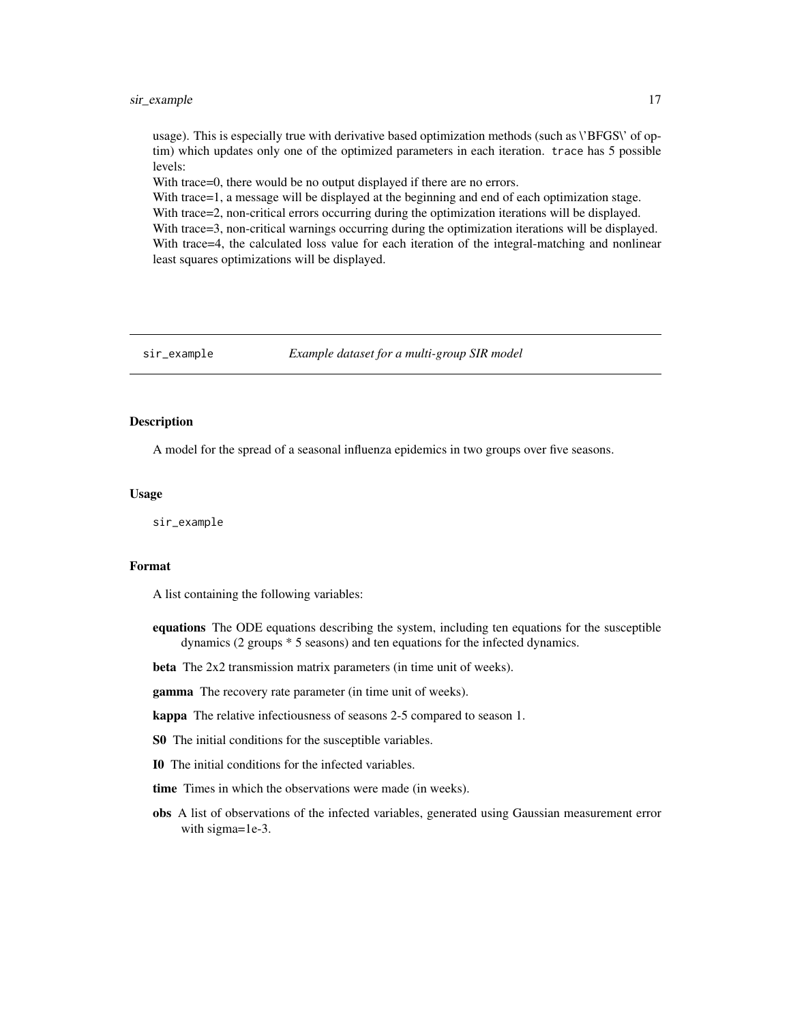<span id="page-16-0"></span>usage). This is especially true with derivative based optimization methods (such as \'BFGS\' of optim) which updates only one of the optimized parameters in each iteration. trace has 5 possible levels:

With trace=0, there would be no output displayed if there are no errors.

With trace=1, a message will be displayed at the beginning and end of each optimization stage. With trace=2, non-critical errors occurring during the optimization iterations will be displayed.

With trace=3, non-critical warnings occurring during the optimization iterations will be displayed. With trace=4, the calculated loss value for each iteration of the integral-matching and nonlinear least squares optimizations will be displayed.

#### sir\_example *Example dataset for a multi-group SIR model*

#### **Description**

A model for the spread of a seasonal influenza epidemics in two groups over five seasons.

#### Usage

sir\_example

#### Format

A list containing the following variables:

equations The ODE equations describing the system, including ten equations for the susceptible dynamics (2 groups \* 5 seasons) and ten equations for the infected dynamics.

beta The 2x2 transmission matrix parameters (in time unit of weeks).

gamma The recovery rate parameter (in time unit of weeks).

kappa The relative infectiousness of seasons 2-5 compared to season 1.

S0 The initial conditions for the susceptible variables.

I0 The initial conditions for the infected variables.

time Times in which the observations were made (in weeks).

obs A list of observations of the infected variables, generated using Gaussian measurement error with sigma=1e-3.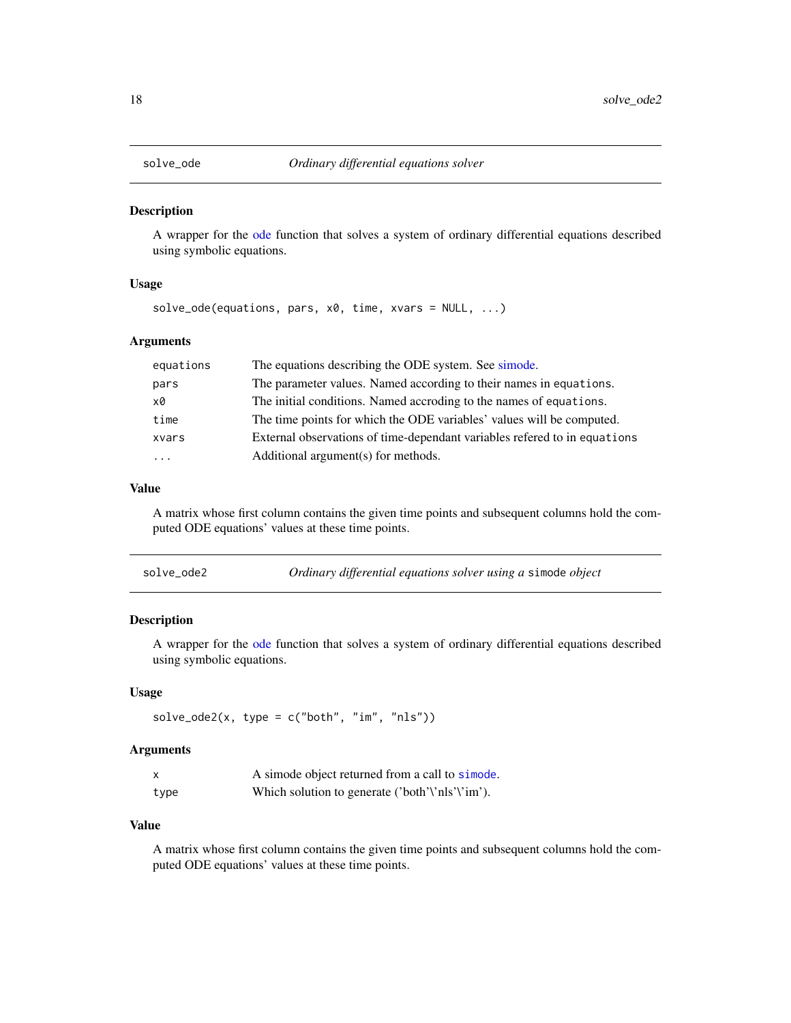<span id="page-17-1"></span><span id="page-17-0"></span>

#### Description

A wrapper for the [ode](#page-0-0) function that solves a system of ordinary differential equations described using symbolic equations.

#### Usage

solve\_ode(equations, pars, x0, time, xvars = NULL, ...)

#### Arguments

| equations | The equations describing the ODE system. See simode.                      |
|-----------|---------------------------------------------------------------------------|
| pars      | The parameter values. Named according to their names in equations.        |
| x0        | The initial conditions. Named accroding to the names of equations.        |
| time      | The time points for which the ODE variables' values will be computed.     |
| xvars     | External observations of time-dependant variables refered to in equations |
| $\cdots$  | Additional argument(s) for methods.                                       |
|           |                                                                           |

#### Value

A matrix whose first column contains the given time points and subsequent columns hold the computed ODE equations' values at these time points.

| solve_ode2 | Ordinary differential equations solver using a simode object |  |
|------------|--------------------------------------------------------------|--|
|------------|--------------------------------------------------------------|--|

#### Description

A wrapper for the [ode](#page-0-0) function that solves a system of ordinary differential equations described using symbolic equations.

#### Usage

```
solve\_ode2(x, type = c("both", "im", "nls"))
```
#### Arguments

| $\boldsymbol{\mathsf{x}}$ | A simode object returned from a call to simode. |
|---------------------------|-------------------------------------------------|
| type                      | Which solution to generate ('both'\'nls'\'im'). |

#### Value

A matrix whose first column contains the given time points and subsequent columns hold the computed ODE equations' values at these time points.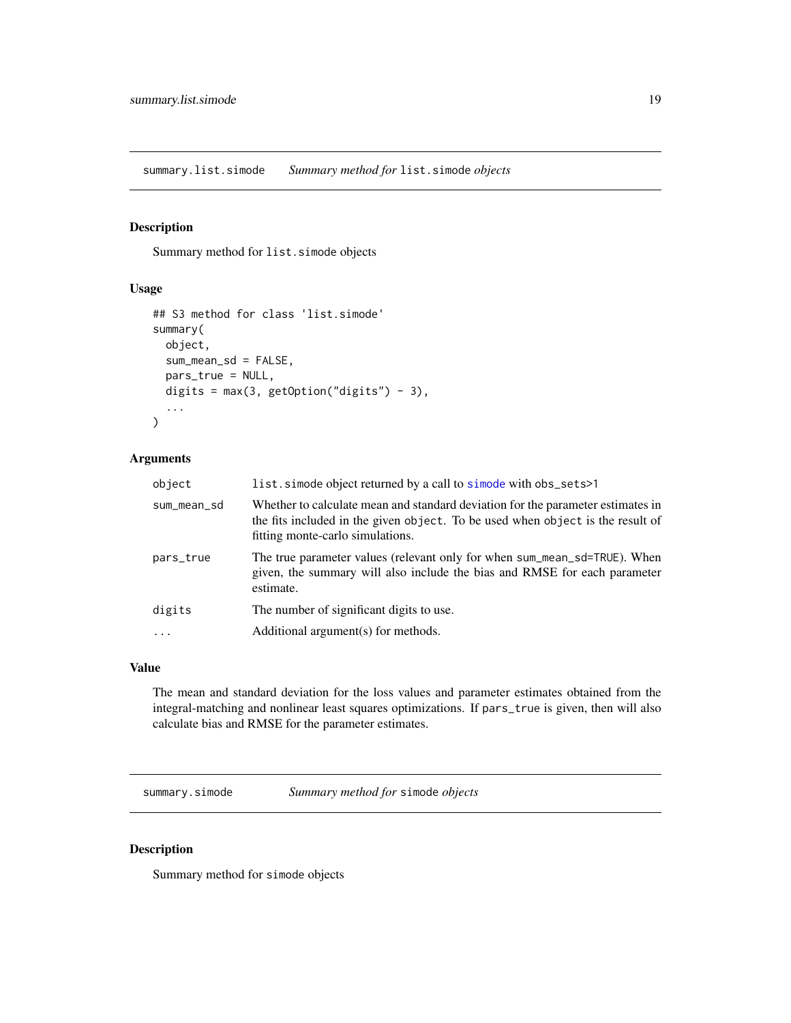<span id="page-18-0"></span>summary.list.simode *Summary method for* list.simode *objects*

#### Description

Summary method for list.simode objects

#### Usage

```
## S3 method for class 'list.simode'
summary(
 object,
  sum_mean_sd = FALSE,
 pars_true = NULL,
 digits = max(3, getOption("digits") - 3),...
)
```
#### Arguments

| object      | list. simode object returned by a call to simode with obs_sets>1                                                                                                                                      |
|-------------|-------------------------------------------------------------------------------------------------------------------------------------------------------------------------------------------------------|
| sum_mean_sd | Whether to calculate mean and standard deviation for the parameter estimates in<br>the fits included in the given object. To be used when object is the result of<br>fitting monte-carlo simulations. |
| pars_true   | The true parameter values (relevant only for when sum_mean_sd=TRUE). When<br>given, the summary will also include the bias and RMSE for each parameter<br>estimate.                                   |
| digits      | The number of significant digits to use.                                                                                                                                                              |
| $\cdot$     | Additional argument(s) for methods.                                                                                                                                                                   |
|             |                                                                                                                                                                                                       |

#### Value

The mean and standard deviation for the loss values and parameter estimates obtained from the integral-matching and nonlinear least squares optimizations. If pars\_true is given, then will also calculate bias and RMSE for the parameter estimates.

summary.simode *Summary method for* simode *objects*

#### Description

Summary method for simode objects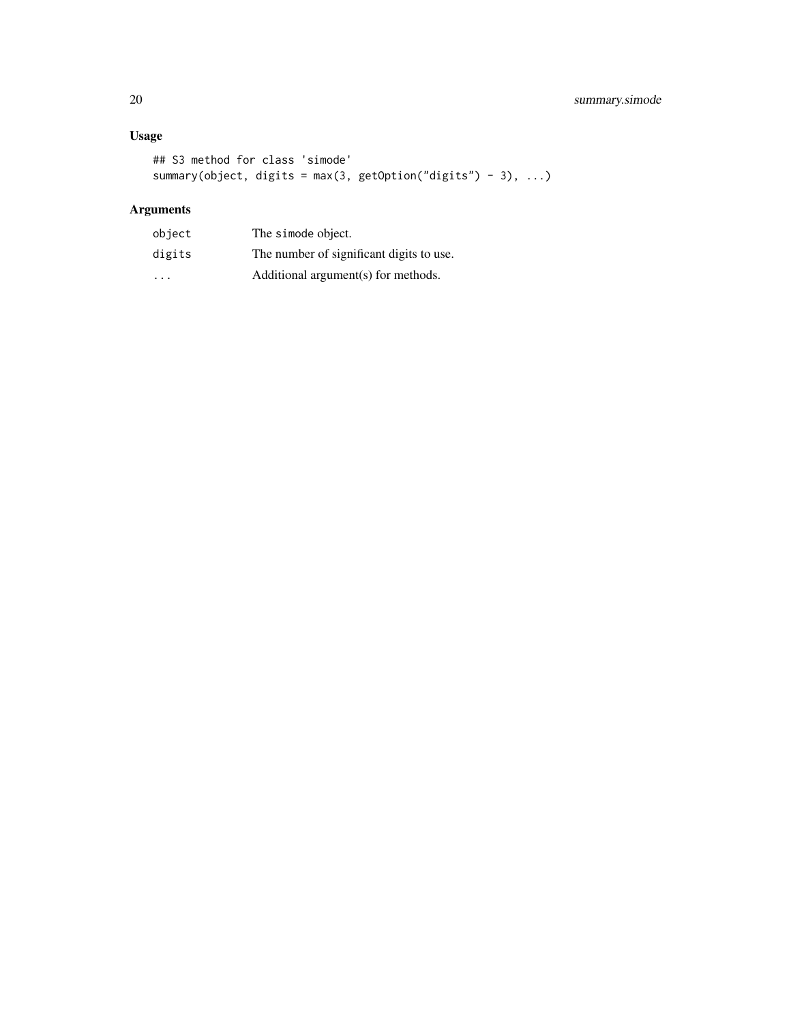### Usage

```
## S3 method for class 'simode'
summary(object, digits = max(3, getOption("digits") - 3), ...)
```

| object                  | The simode object.                       |
|-------------------------|------------------------------------------|
| digits                  | The number of significant digits to use. |
| $\cdot$ $\cdot$ $\cdot$ | Additional argument(s) for methods.      |